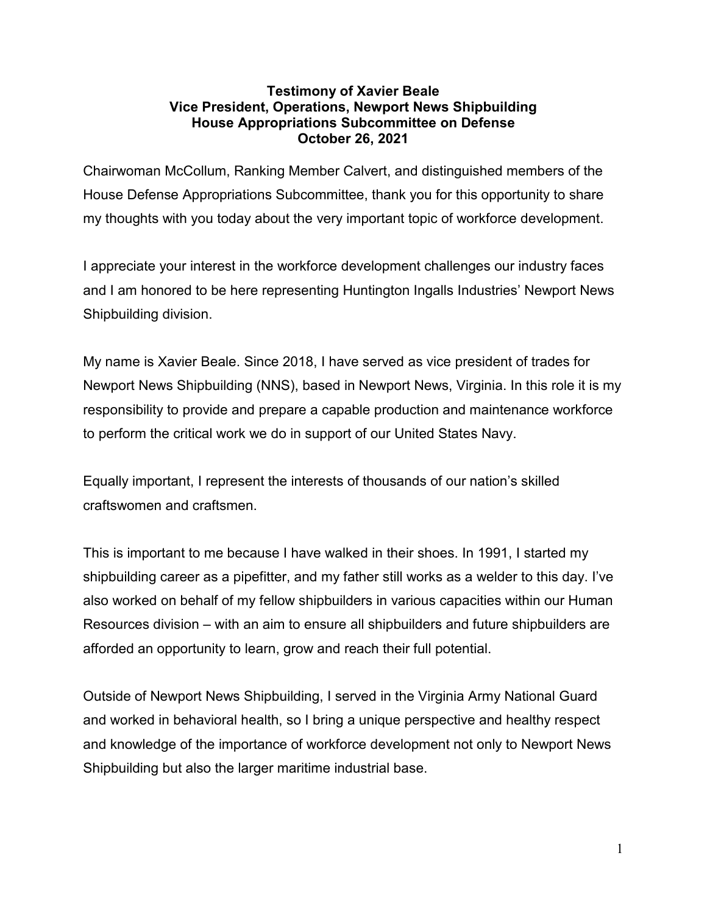#### **Testimony of Xavier Beale Vice President, Operations, Newport News Shipbuilding House Appropriations Subcommittee on Defense October 26, 2021**

Chairwoman McCollum, Ranking Member Calvert, and distinguished members of the House Defense Appropriations Subcommittee, thank you for this opportunity to share my thoughts with you today about the very important topic of workforce development.

I appreciate your interest in the workforce development challenges our industry faces and I am honored to be here representing Huntington Ingalls Industries' Newport News Shipbuilding division.

My name is Xavier Beale. Since 2018, I have served as vice president of trades for Newport News Shipbuilding (NNS), based in Newport News, Virginia. In this role it is my responsibility to provide and prepare a capable production and maintenance workforce to perform the critical work we do in support of our United States Navy.

Equally important, I represent the interests of thousands of our nation's skilled craftswomen and craftsmen.

This is important to me because I have walked in their shoes. In 1991, I started my shipbuilding career as a pipefitter, and my father still works as a welder to this day. I've also worked on behalf of my fellow shipbuilders in various capacities within our Human Resources division – with an aim to ensure all shipbuilders and future shipbuilders are afforded an opportunity to learn, grow and reach their full potential.

Outside of Newport News Shipbuilding, I served in the Virginia Army National Guard and worked in behavioral health, so I bring a unique perspective and healthy respect and knowledge of the importance of workforce development not only to Newport News Shipbuilding but also the larger maritime industrial base.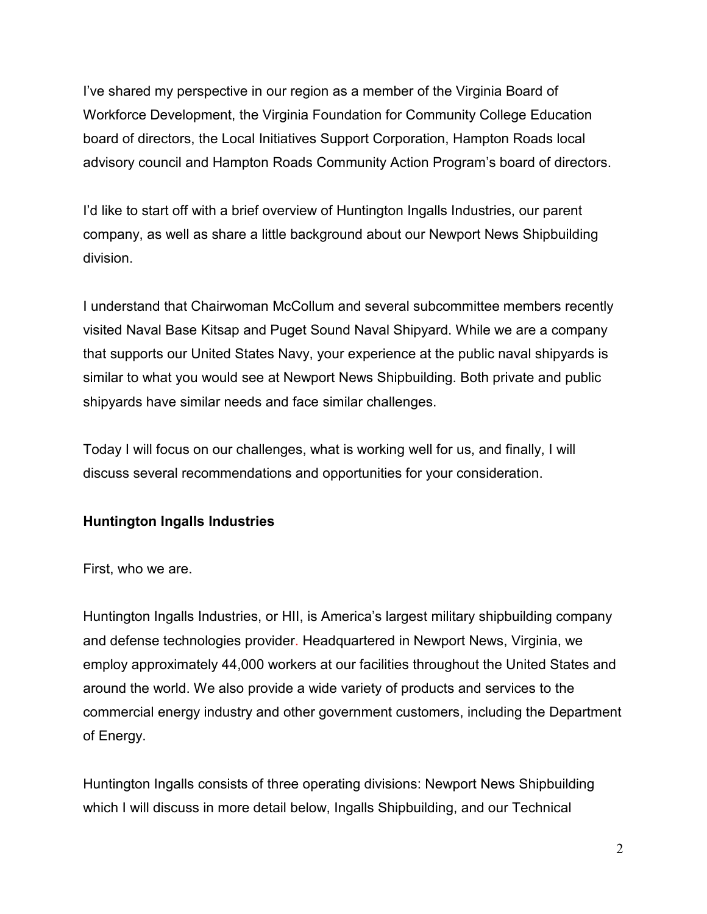I've shared my perspective in our region as a member of the Virginia Board of Workforce Development, the Virginia Foundation for Community College Education board of directors, the Local Initiatives Support Corporation, Hampton Roads local advisory council and Hampton Roads Community Action Program's board of directors.

I'd like to start off with a brief overview of Huntington Ingalls Industries, our parent company, as well as share a little background about our Newport News Shipbuilding division.

I understand that Chairwoman McCollum and several subcommittee members recently visited Naval Base Kitsap and Puget Sound Naval Shipyard. While we are a company that supports our United States Navy, your experience at the public naval shipyards is similar to what you would see at Newport News Shipbuilding. Both private and public shipyards have similar needs and face similar challenges.

Today I will focus on our challenges, what is working well for us, and finally, I will discuss several recommendations and opportunities for your consideration.

## **Huntington Ingalls Industries**

First, who we are.

Huntington Ingalls Industries, or HII, is America's largest military shipbuilding company and defense technologies provider. Headquartered in Newport News, Virginia, we employ approximately 44,000 workers at our facilities throughout the United States and around the world. We also provide a wide variety of products and services to the commercial energy industry and other government customers, including the Department of Energy.

Huntington Ingalls consists of three operating divisions: Newport News Shipbuilding which I will discuss in more detail below, Ingalls Shipbuilding, and our Technical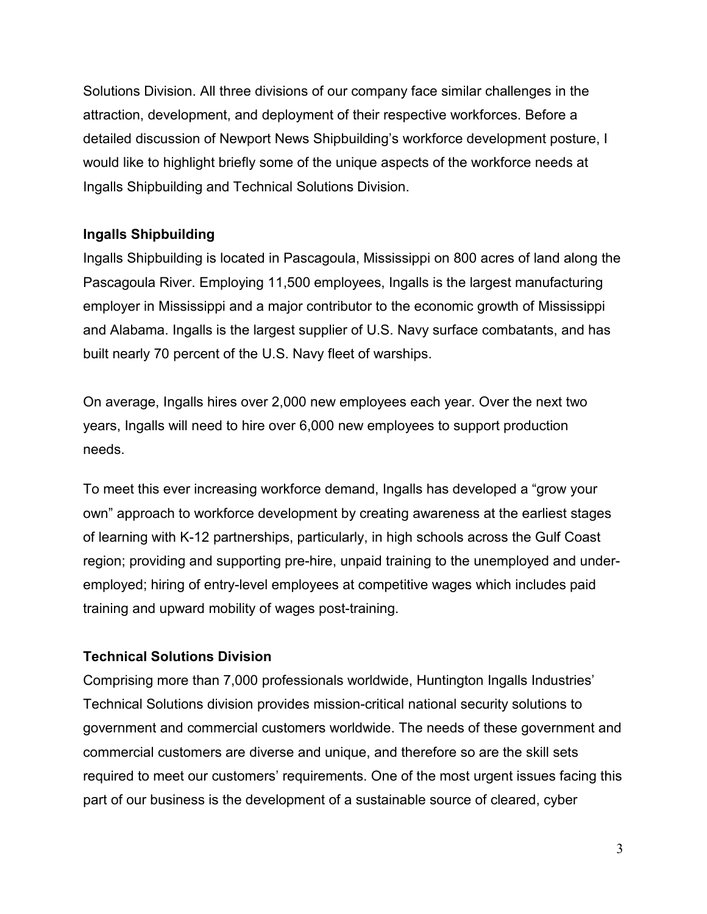Solutions Division. All three divisions of our company face similar challenges in the attraction, development, and deployment of their respective workforces. Before a detailed discussion of Newport News Shipbuilding's workforce development posture, I would like to highlight briefly some of the unique aspects of the workforce needs at Ingalls Shipbuilding and Technical Solutions Division.

## **Ingalls Shipbuilding**

Ingalls Shipbuilding is located in Pascagoula, Mississippi on 800 acres of land along the Pascagoula River. Employing 11,500 employees, Ingalls is the largest manufacturing employer in Mississippi and a major contributor to the economic growth of Mississippi and Alabama. Ingalls is the largest supplier of U.S. Navy surface combatants, and has built nearly 70 percent of the U.S. Navy fleet of warships.

On average, Ingalls hires over 2,000 new employees each year. Over the next two years, Ingalls will need to hire over 6,000 new employees to support production needs.

To meet this ever increasing workforce demand, Ingalls has developed a "grow your own" approach to workforce development by creating awareness at the earliest stages of learning with K-12 partnerships, particularly, in high schools across the Gulf Coast region; providing and supporting pre-hire, unpaid training to the unemployed and underemployed; hiring of entry-level employees at competitive wages which includes paid training and upward mobility of wages post-training.

## **Technical Solutions Division**

Comprising more than 7,000 professionals worldwide, Huntington Ingalls Industries' Technical Solutions division provides mission-critical national security solutions to government and commercial customers worldwide. The needs of these government and commercial customers are diverse and unique, and therefore so are the skill sets required to meet our customers' requirements. One of the most urgent issues facing this part of our business is the development of a sustainable source of cleared, cyber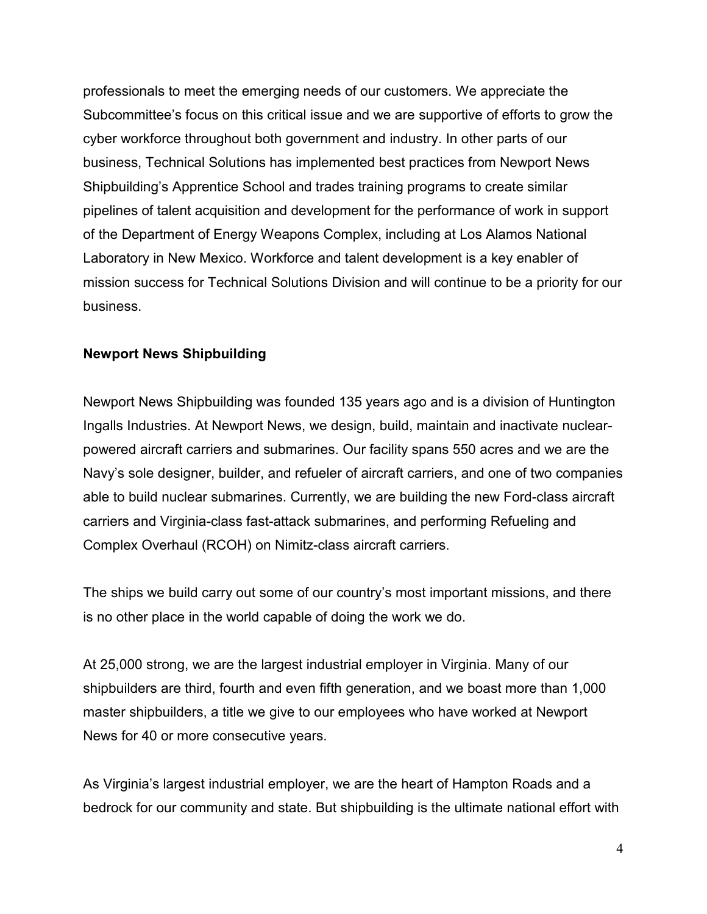professionals to meet the emerging needs of our customers. We appreciate the Subcommittee's focus on this critical issue and we are supportive of efforts to grow the cyber workforce throughout both government and industry. In other parts of our business, Technical Solutions has implemented best practices from Newport News Shipbuilding's Apprentice School and trades training programs to create similar pipelines of talent acquisition and development for the performance of work in support of the Department of Energy Weapons Complex, including at Los Alamos National Laboratory in New Mexico. Workforce and talent development is a key enabler of mission success for Technical Solutions Division and will continue to be a priority for our business.

#### **Newport News Shipbuilding**

Newport News Shipbuilding was founded 135 years ago and is a division of Huntington Ingalls Industries. At Newport News, we design, build, maintain and inactivate nuclearpowered aircraft carriers and submarines. Our facility spans 550 acres and we are the Navy's sole designer, builder, and refueler of aircraft carriers, and one of two companies able to build nuclear submarines. Currently, we are building the new Ford-class aircraft carriers and Virginia-class fast-attack submarines, and performing Refueling and Complex Overhaul (RCOH) on Nimitz-class aircraft carriers.

The ships we build carry out some of our country's most important missions, and there is no other place in the world capable of doing the work we do.

At 25,000 strong, we are the largest industrial employer in Virginia. Many of our shipbuilders are third, fourth and even fifth generation, and we boast more than 1,000 master shipbuilders, a title we give to our employees who have worked at Newport News for 40 or more consecutive years.

As Virginia's largest industrial employer, we are the heart of Hampton Roads and a bedrock for our community and state. But shipbuilding is the ultimate national effort with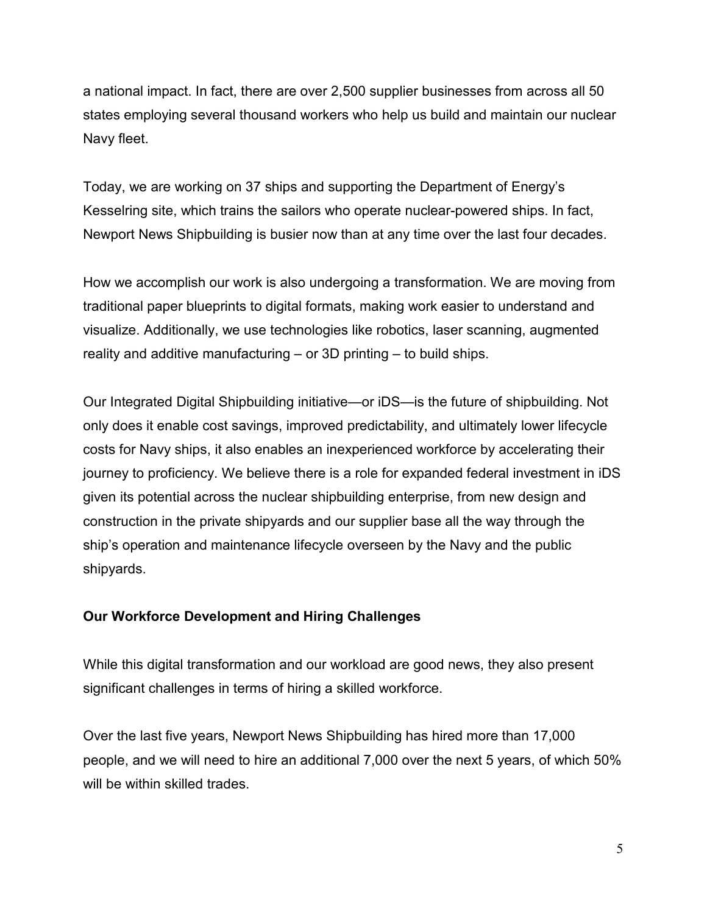a national impact. In fact, there are over 2,500 supplier businesses from across all 50 states employing several thousand workers who help us build and maintain our nuclear Navy fleet.

Today, we are working on 37 ships and supporting the Department of Energy's Kesselring site, which trains the sailors who operate nuclear-powered ships. In fact, Newport News Shipbuilding is busier now than at any time over the last four decades.

How we accomplish our work is also undergoing a transformation. We are moving from traditional paper blueprints to digital formats, making work easier to understand and visualize. Additionally, we use technologies like robotics, laser scanning, augmented reality and additive manufacturing – or 3D printing – to build ships.

Our Integrated Digital Shipbuilding initiative—or iDS—is the future of shipbuilding. Not only does it enable cost savings, improved predictability, and ultimately lower lifecycle costs for Navy ships, it also enables an inexperienced workforce by accelerating their journey to proficiency. We believe there is a role for expanded federal investment in iDS given its potential across the nuclear shipbuilding enterprise, from new design and construction in the private shipyards and our supplier base all the way through the ship's operation and maintenance lifecycle overseen by the Navy and the public shipyards.

## **Our Workforce Development and Hiring Challenges**

While this digital transformation and our workload are good news, they also present significant challenges in terms of hiring a skilled workforce.

Over the last five years, Newport News Shipbuilding has hired more than 17,000 people, and we will need to hire an additional 7,000 over the next 5 years, of which 50% will be within skilled trades.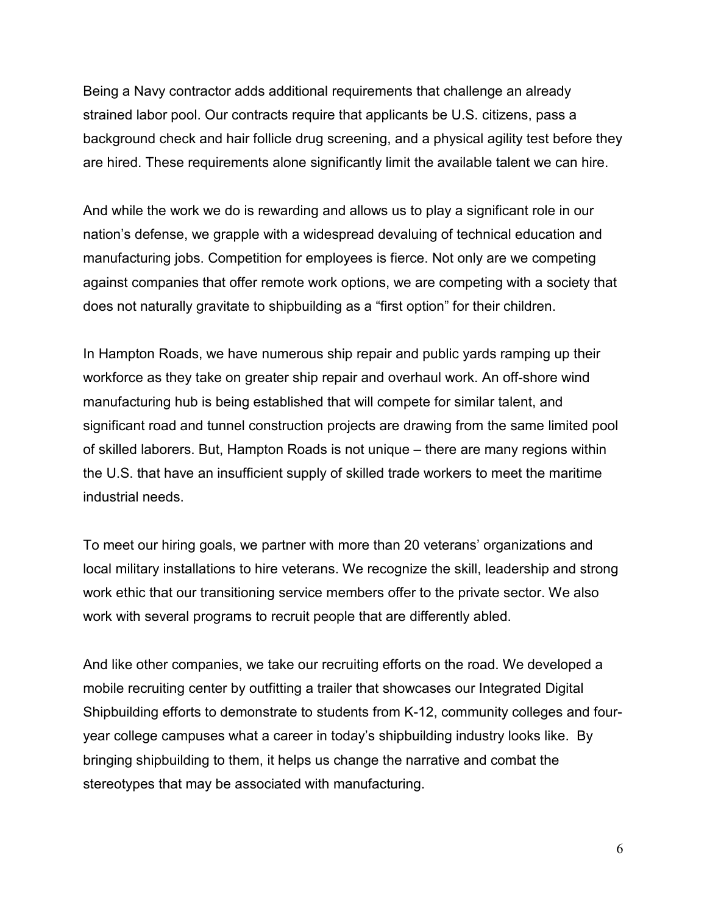Being a Navy contractor adds additional requirements that challenge an already strained labor pool. Our contracts require that applicants be U.S. citizens, pass a background check and hair follicle drug screening, and a physical agility test before they are hired. These requirements alone significantly limit the available talent we can hire.

And while the work we do is rewarding and allows us to play a significant role in our nation's defense, we grapple with a widespread devaluing of technical education and manufacturing jobs. Competition for employees is fierce. Not only are we competing against companies that offer remote work options, we are competing with a society that does not naturally gravitate to shipbuilding as a "first option" for their children.

In Hampton Roads, we have numerous ship repair and public yards ramping up their workforce as they take on greater ship repair and overhaul work. An off-shore wind manufacturing hub is being established that will compete for similar talent, and significant road and tunnel construction projects are drawing from the same limited pool of skilled laborers. But, Hampton Roads is not unique – there are many regions within the U.S. that have an insufficient supply of skilled trade workers to meet the maritime industrial needs.

To meet our hiring goals, we partner with more than 20 veterans' organizations and local military installations to hire veterans. We recognize the skill, leadership and strong work ethic that our transitioning service members offer to the private sector. We also work with several programs to recruit people that are differently abled.

And like other companies, we take our recruiting efforts on the road. We developed a mobile recruiting center by outfitting a trailer that showcases our Integrated Digital Shipbuilding efforts to demonstrate to students from K-12, community colleges and fouryear college campuses what a career in today's shipbuilding industry looks like. By bringing shipbuilding to them, it helps us change the narrative and combat the stereotypes that may be associated with manufacturing.

6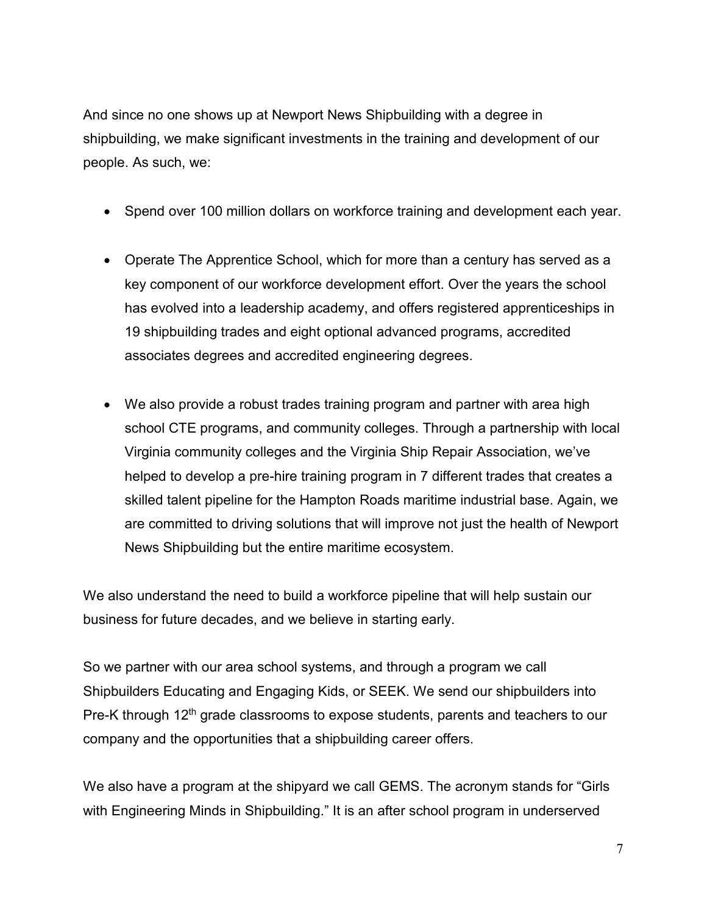And since no one shows up at Newport News Shipbuilding with a degree in shipbuilding, we make significant investments in the training and development of our people. As such, we:

- Spend over 100 million dollars on workforce training and development each year.
- Operate The Apprentice School, which for more than a century has served as a key component of our workforce development effort. Over the years the school has evolved into a leadership academy, and offers registered apprenticeships in 19 shipbuilding trades and eight optional advanced programs, accredited associates degrees and accredited engineering degrees.
- We also provide a robust trades training program and partner with area high school CTE programs, and community colleges. Through a partnership with local Virginia community colleges and the Virginia Ship Repair Association, we've helped to develop a pre-hire training program in 7 different trades that creates a skilled talent pipeline for the Hampton Roads maritime industrial base. Again, we are committed to driving solutions that will improve not just the health of Newport News Shipbuilding but the entire maritime ecosystem.

We also understand the need to build a workforce pipeline that will help sustain our business for future decades, and we believe in starting early.

So we partner with our area school systems, and through a program we call Shipbuilders Educating and Engaging Kids, or SEEK. We send our shipbuilders into Pre-K through 12<sup>th</sup> grade classrooms to expose students, parents and teachers to our company and the opportunities that a shipbuilding career offers.

We also have a program at the shipyard we call GEMS. The acronym stands for "Girls with Engineering Minds in Shipbuilding." It is an after school program in underserved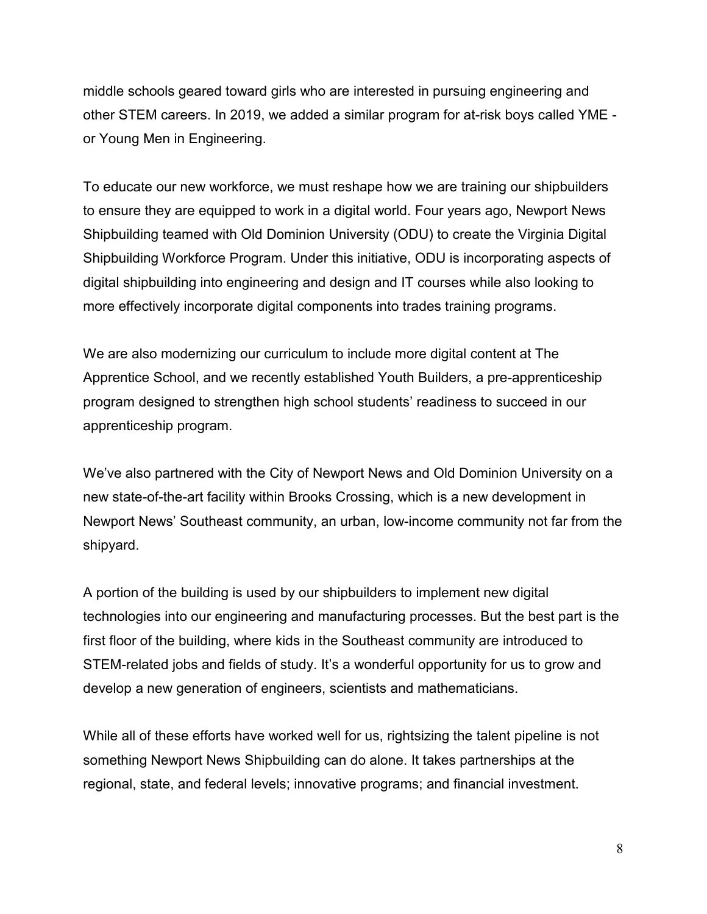middle schools geared toward girls who are interested in pursuing engineering and other STEM careers. In 2019, we added a similar program for at-risk boys called YME or Young Men in Engineering.

To educate our new workforce, we must reshape how we are training our shipbuilders to ensure they are equipped to work in a digital world. Four years ago, Newport News Shipbuilding teamed with Old Dominion University (ODU) to create the Virginia Digital Shipbuilding Workforce Program. Under this initiative, ODU is incorporating aspects of digital shipbuilding into engineering and design and IT courses while also looking to more effectively incorporate digital components into trades training programs.

We are also modernizing our curriculum to include more digital content at The Apprentice School, and we recently established Youth Builders, a pre-apprenticeship program designed to strengthen high school students' readiness to succeed in our apprenticeship program.

We've also partnered with the City of Newport News and Old Dominion University on a new state-of-the-art facility within Brooks Crossing, which is a new development in Newport News' Southeast community, an urban, low-income community not far from the shipyard.

A portion of the building is used by our shipbuilders to implement new digital technologies into our engineering and manufacturing processes. But the best part is the first floor of the building, where kids in the Southeast community are introduced to STEM-related jobs and fields of study. It's a wonderful opportunity for us to grow and develop a new generation of engineers, scientists and mathematicians.

While all of these efforts have worked well for us, rightsizing the talent pipeline is not something Newport News Shipbuilding can do alone. It takes partnerships at the regional, state, and federal levels; innovative programs; and financial investment.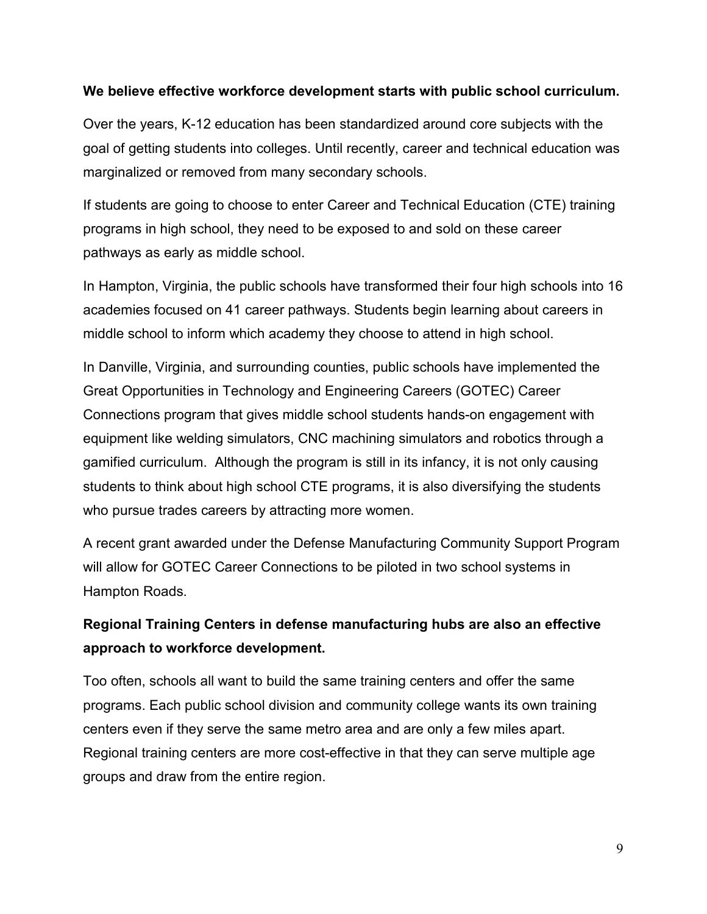### **We believe effective workforce development starts with public school curriculum.**

Over the years, K-12 education has been standardized around core subjects with the goal of getting students into colleges. Until recently, career and technical education was marginalized or removed from many secondary schools.

If students are going to choose to enter Career and Technical Education (CTE) training programs in high school, they need to be exposed to and sold on these career pathways as early as middle school.

In Hampton, Virginia, the public schools have transformed their four high schools into 16 academies focused on 41 career pathways. Students begin learning about careers in middle school to inform which academy they choose to attend in high school.

In Danville, Virginia, and surrounding counties, public schools have implemented the Great Opportunities in Technology and Engineering Careers (GOTEC) Career Connections program that gives middle school students hands-on engagement with equipment like welding simulators, CNC machining simulators and robotics through a gamified curriculum. Although the program is still in its infancy, it is not only causing students to think about high school CTE programs, it is also diversifying the students who pursue trades careers by attracting more women.

A recent grant awarded under the Defense Manufacturing Community Support Program will allow for GOTEC Career Connections to be piloted in two school systems in Hampton Roads.

# **Regional Training Centers in defense manufacturing hubs are also an effective approach to workforce development.**

Too often, schools all want to build the same training centers and offer the same programs. Each public school division and community college wants its own training centers even if they serve the same metro area and are only a few miles apart. Regional training centers are more cost-effective in that they can serve multiple age groups and draw from the entire region.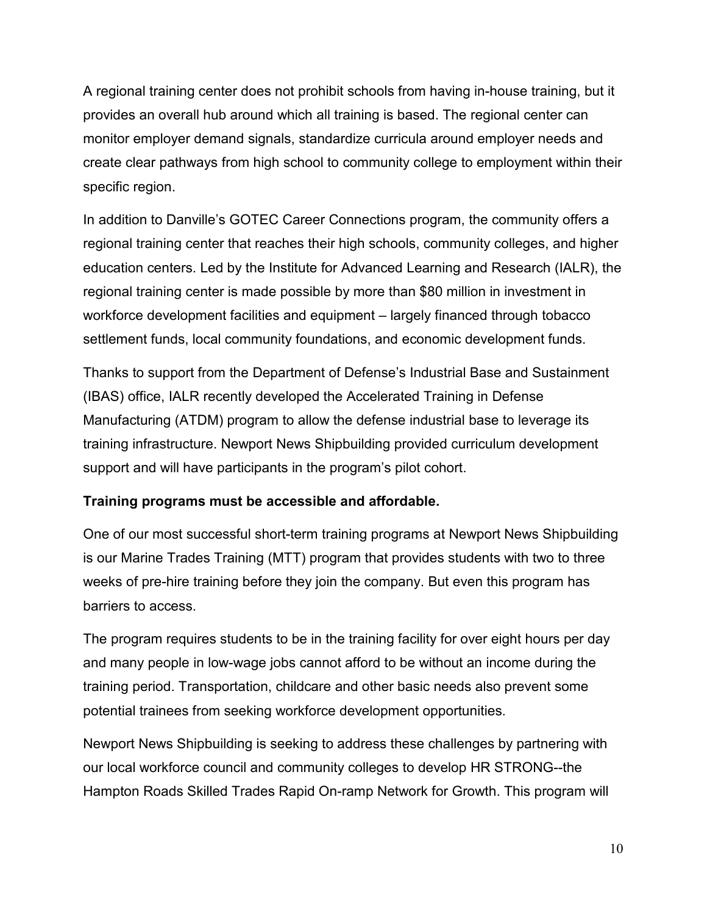A regional training center does not prohibit schools from having in-house training, but it provides an overall hub around which all training is based. The regional center can monitor employer demand signals, standardize curricula around employer needs and create clear pathways from high school to community college to employment within their specific region.

In addition to Danville's GOTEC Career Connections program, the community offers a regional training center that reaches their high schools, community colleges, and higher education centers. Led by the Institute for Advanced Learning and Research (IALR), the regional training center is made possible by more than \$80 million in investment in workforce development facilities and equipment – largely financed through tobacco settlement funds, local community foundations, and economic development funds.

Thanks to support from the Department of Defense's Industrial Base and Sustainment (IBAS) office, IALR recently developed the Accelerated Training in Defense Manufacturing (ATDM) program to allow the defense industrial base to leverage its training infrastructure. Newport News Shipbuilding provided curriculum development support and will have participants in the program's pilot cohort.

## **Training programs must be accessible and affordable.**

One of our most successful short-term training programs at Newport News Shipbuilding is our Marine Trades Training (MTT) program that provides students with two to three weeks of pre-hire training before they join the company. But even this program has barriers to access.

The program requires students to be in the training facility for over eight hours per day and many people in low-wage jobs cannot afford to be without an income during the training period. Transportation, childcare and other basic needs also prevent some potential trainees from seeking workforce development opportunities.

Newport News Shipbuilding is seeking to address these challenges by partnering with our local workforce council and community colleges to develop HR STRONG--the Hampton Roads Skilled Trades Rapid On-ramp Network for Growth. This program will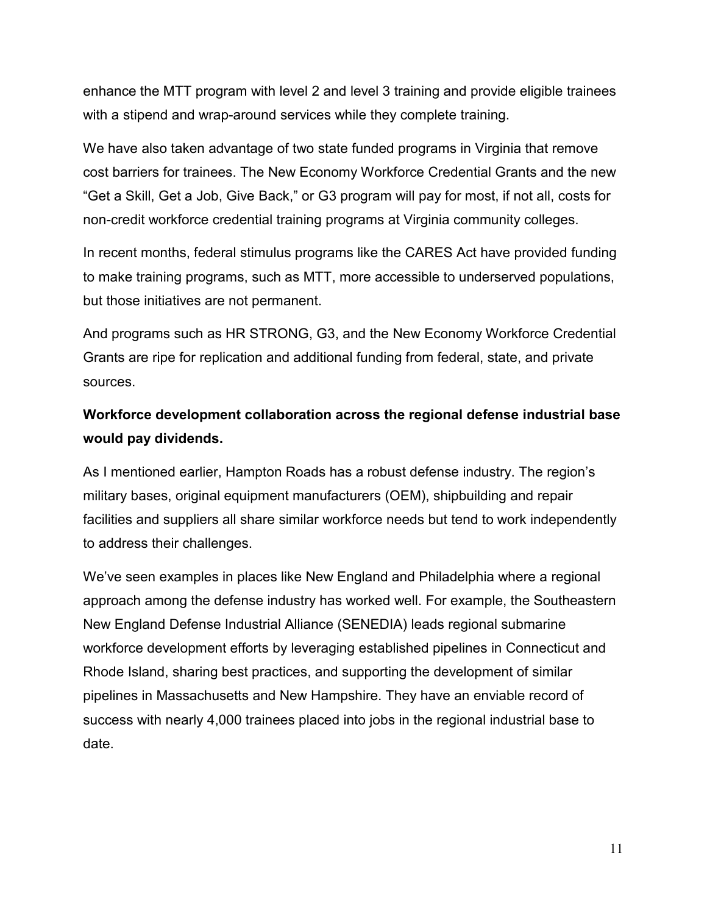enhance the MTT program with level 2 and level 3 training and provide eligible trainees with a stipend and wrap-around services while they complete training.

We have also taken advantage of two state funded programs in Virginia that remove cost barriers for trainees. The New Economy Workforce Credential Grants and the new "Get a Skill, Get a Job, Give Back," or G3 program will pay for most, if not all, costs for non-credit workforce credential training programs at Virginia community colleges.

In recent months, federal stimulus programs like the CARES Act have provided funding to make training programs, such as MTT, more accessible to underserved populations, but those initiatives are not permanent.

And programs such as HR STRONG, G3, and the New Economy Workforce Credential Grants are ripe for replication and additional funding from federal, state, and private sources.

# **Workforce development collaboration across the regional defense industrial base would pay dividends.**

As I mentioned earlier, Hampton Roads has a robust defense industry. The region's military bases, original equipment manufacturers (OEM), shipbuilding and repair facilities and suppliers all share similar workforce needs but tend to work independently to address their challenges.

We've seen examples in places like New England and Philadelphia where a regional approach among the defense industry has worked well. For example, the Southeastern New England Defense Industrial Alliance (SENEDIA) leads regional submarine workforce development efforts by leveraging established pipelines in Connecticut and Rhode Island, sharing best practices, and supporting the development of similar pipelines in Massachusetts and New Hampshire. They have an enviable record of success with nearly 4,000 trainees placed into jobs in the regional industrial base to date.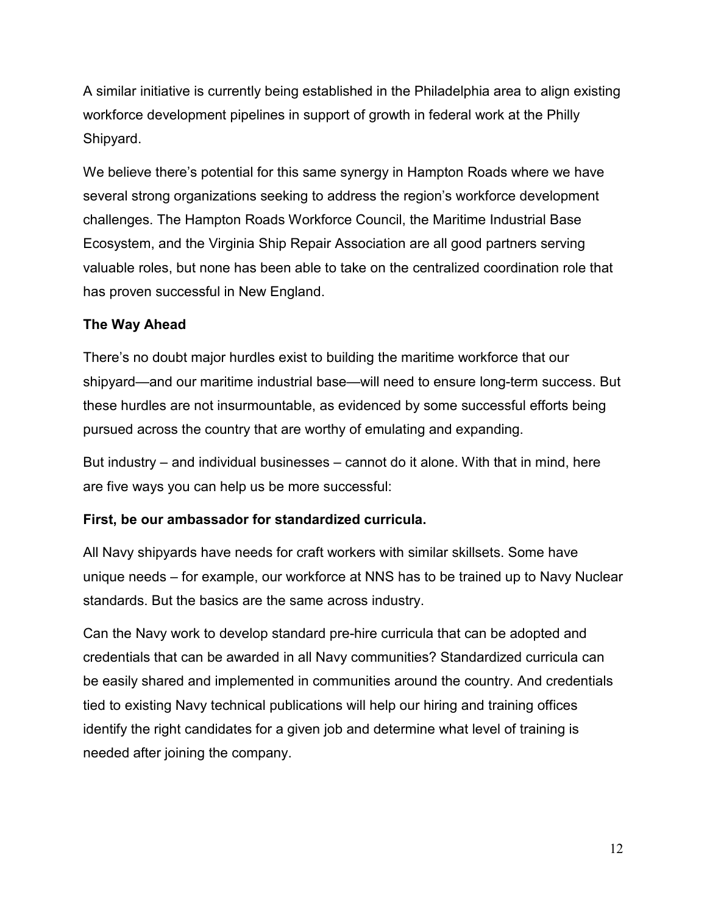A similar initiative is currently being established in the Philadelphia area to align existing workforce development pipelines in support of growth in federal work at the Philly Shipyard.

We believe there's potential for this same synergy in Hampton Roads where we have several strong organizations seeking to address the region's workforce development challenges. The Hampton Roads Workforce Council, the Maritime Industrial Base Ecosystem, and the Virginia Ship Repair Association are all good partners serving valuable roles, but none has been able to take on the centralized coordination role that has proven successful in New England.

### **The Way Ahead**

There's no doubt major hurdles exist to building the maritime workforce that our shipyard—and our maritime industrial base—will need to ensure long-term success. But these hurdles are not insurmountable, as evidenced by some successful efforts being pursued across the country that are worthy of emulating and expanding.

But industry – and individual businesses – cannot do it alone. With that in mind, here are five ways you can help us be more successful:

## **First, be our ambassador for standardized curricula.**

All Navy shipyards have needs for craft workers with similar skillsets. Some have unique needs – for example, our workforce at NNS has to be trained up to Navy Nuclear standards. But the basics are the same across industry.

Can the Navy work to develop standard pre-hire curricula that can be adopted and credentials that can be awarded in all Navy communities? Standardized curricula can be easily shared and implemented in communities around the country. And credentials tied to existing Navy technical publications will help our hiring and training offices identify the right candidates for a given job and determine what level of training is needed after joining the company.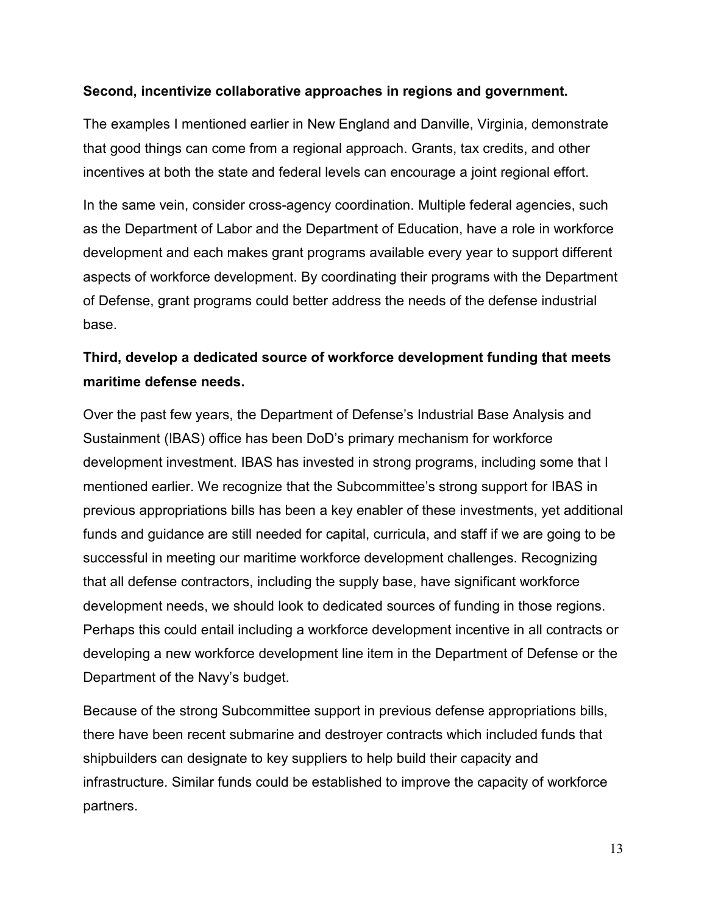### **Second, incentivize collaborative approaches in regions and government.**

The examples I mentioned earlier in New England and Danville, Virginia, demonstrate that good things can come from a regional approach. Grants, tax credits, and other incentives at both the state and federal levels can encourage a joint regional effort.

In the same vein, consider cross-agency coordination. Multiple federal agencies, such as the Department of Labor and the Department of Education, have a role in workforce development and each makes grant programs available every year to support different aspects of workforce development. By coordinating their programs with the Department of Defense, grant programs could better address the needs of the defense industrial base.

# **Third, develop a dedicated source of workforce development funding that meets maritime defense needs.**

Over the past few years, the Department of Defense's Industrial Base Analysis and Sustainment (IBAS) office has been DoD's primary mechanism for workforce development investment. IBAS has invested in strong programs, including some that I mentioned earlier. We recognize that the Subcommittee's strong support for IBAS in previous appropriations bills has been a key enabler of these investments, yet additional funds and guidance are still needed for capital, curricula, and staff if we are going to be successful in meeting our maritime workforce development challenges. Recognizing that all defense contractors, including the supply base, have significant workforce development needs, we should look to dedicated sources of funding in those regions. Perhaps this could entail including a workforce development incentive in all contracts or developing a new workforce development line item in the Department of Defense or the Department of the Navy's budget.

Because of the strong Subcommittee support in previous defense appropriations bills, there have been recent submarine and destroyer contracts which included funds that shipbuilders can designate to key suppliers to help build their capacity and infrastructure. Similar funds could be established to improve the capacity of workforce partners.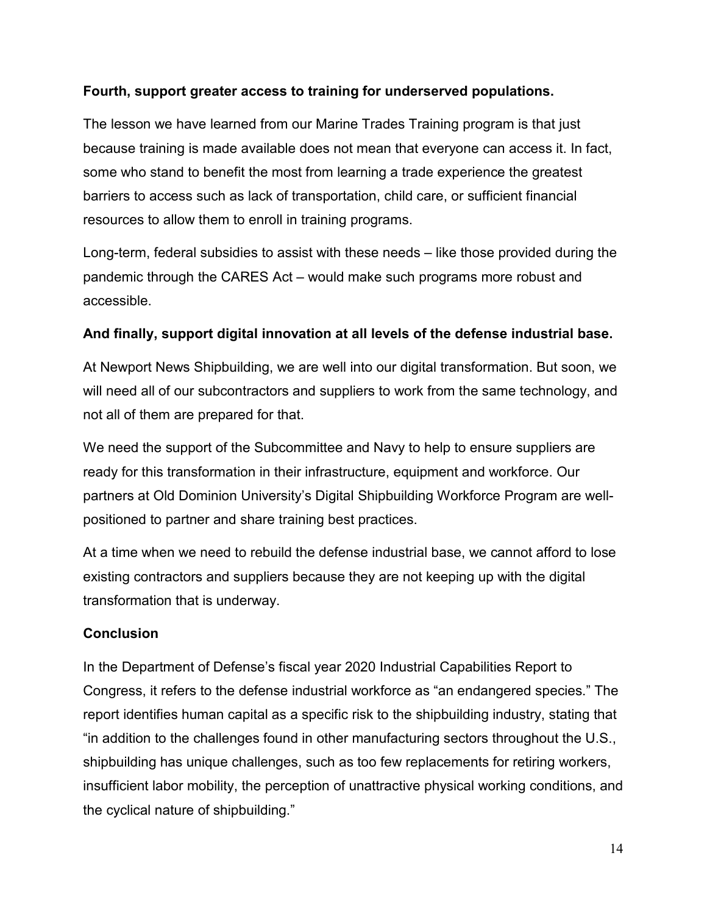## **Fourth, support greater access to training for underserved populations.**

The lesson we have learned from our Marine Trades Training program is that just because training is made available does not mean that everyone can access it. In fact, some who stand to benefit the most from learning a trade experience the greatest barriers to access such as lack of transportation, child care, or sufficient financial resources to allow them to enroll in training programs.

Long-term, federal subsidies to assist with these needs – like those provided during the pandemic through the CARES Act – would make such programs more robust and accessible.

### **And finally, support digital innovation at all levels of the defense industrial base.**

At Newport News Shipbuilding, we are well into our digital transformation. But soon, we will need all of our subcontractors and suppliers to work from the same technology, and not all of them are prepared for that.

We need the support of the Subcommittee and Navy to help to ensure suppliers are ready for this transformation in their infrastructure, equipment and workforce. Our partners at Old Dominion University's Digital Shipbuilding Workforce Program are wellpositioned to partner and share training best practices.

At a time when we need to rebuild the defense industrial base, we cannot afford to lose existing contractors and suppliers because they are not keeping up with the digital transformation that is underway.

#### **Conclusion**

In the Department of Defense's fiscal year 2020 Industrial Capabilities Report to Congress, it refers to the defense industrial workforce as "an endangered species." The report identifies human capital as a specific risk to the shipbuilding industry, stating that "in addition to the challenges found in other manufacturing sectors throughout the U.S., shipbuilding has unique challenges, such as too few replacements for retiring workers, insufficient labor mobility, the perception of unattractive physical working conditions, and the cyclical nature of shipbuilding."